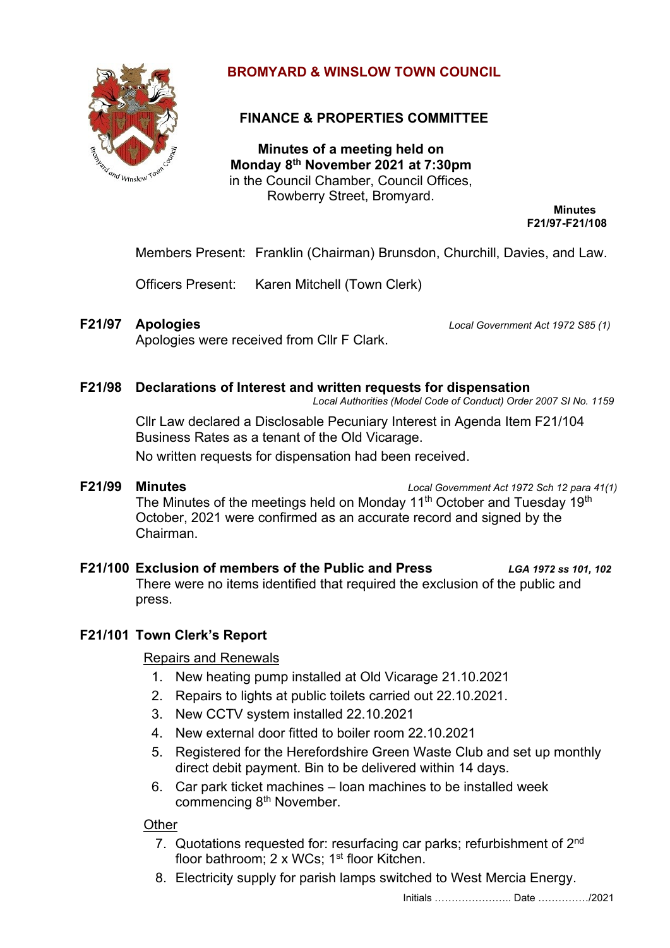

# **BROMYARD & WINSLOW TOWN COUNCIL**

# **FINANCE & PROPERTIES COMMITTEE**

**Minutes of a meeting held on Monday 8 th November 2021 at 7:30pm** in the Council Chamber, Council Offices, Rowberry Street, Bromyard.

**Minutes F21/97-F21/108**

Members Present: Franklin (Chairman) Brunsdon, Churchill, Davies, and Law.

Officers Present: Karen Mitchell (Town Clerk)

Apologies were received from Cllr F Clark.

**F21/97 Apologies** *Local Government Act 1972 S85 (1)*

## **F21/98 Declarations of Interest and written requests for dispensation**

*Local Authorities (Model Code of Conduct) Order 2007 SI No. 1159*

Cllr Law declared a Disclosable Pecuniary Interest in Agenda Item F21/104 Business Rates as a tenant of the Old Vicarage.

No written requests for dispensation had been received.

**F21/99 Minutes** *Local Government Act 1972 Sch 12 para 41(1)*

The Minutes of the meetings held on Monday 11<sup>th</sup> October and Tuesday 19<sup>th</sup> October, 2021 were confirmed as an accurate record and signed by the Chairman.

**F21/100 Exclusion of members of the Public and Press** *LGA 1972 ss 101, 102* There were no items identified that required the exclusion of the public and press.

# **F21/101 Town Clerk's Report**

## Repairs and Renewals

- 1. New heating pump installed at Old Vicarage 21.10.2021
- 2. Repairs to lights at public toilets carried out 22.10.2021.
- 3. New CCTV system installed 22.10.2021
- 4. New external door fitted to boiler room 22.10.2021
- 5. Registered for the Herefordshire Green Waste Club and set up monthly direct debit payment. Bin to be delivered within 14 days.
- 6. Car park ticket machines loan machines to be installed week commencing 8<sup>th</sup> November.

# **Other**

- 7. Quotations requested for: resurfacing car parks; refurbishment of 2<sup>nd</sup> floor bathroom; 2 x WCs; 1<sup>st</sup> floor Kitchen.
- 8. Electricity supply for parish lamps switched to West Mercia Energy.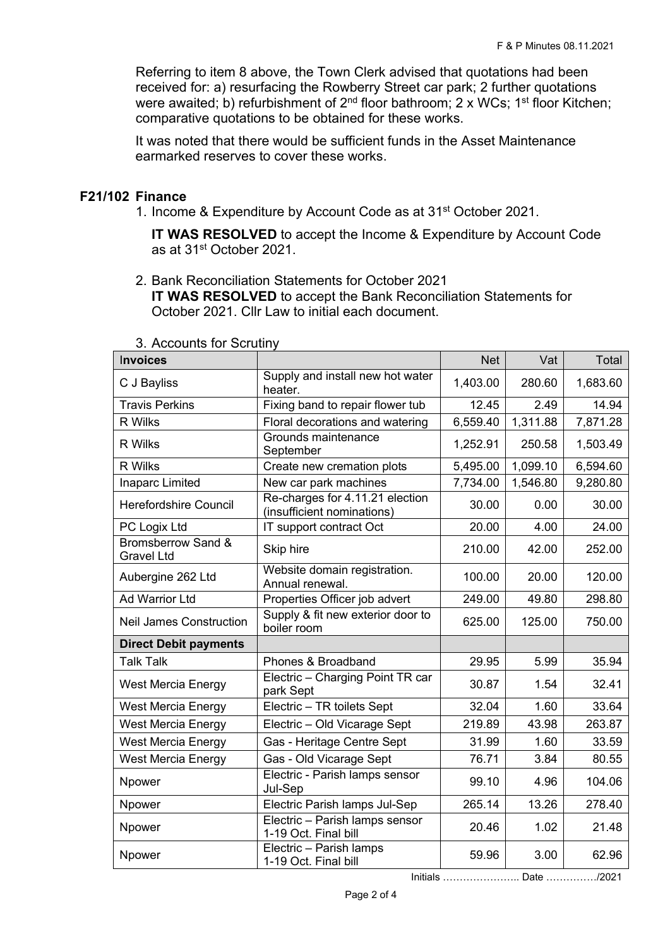Referring to item 8 above, the Town Clerk advised that quotations had been received for: a) resurfacing the Rowberry Street car park; 2 further quotations were awaited; b) refurbishment of 2<sup>nd</sup> floor bathroom; 2 x WCs; 1<sup>st</sup> floor Kitchen; comparative quotations to be obtained for these works.

It was noted that there would be sufficient funds in the Asset Maintenance earmarked reserves to cover these works.

## **F21/102 Finance**

1. Income & Expenditure by Account Code as at 31<sup>st</sup> October 2021.

**IT WAS RESOLVED** to accept the Income & Expenditure by Account Code as at 31<sup>st</sup> October 2021.

2. Bank Reconciliation Statements for October 2021 **IT WAS RESOLVED** to accept the Bank Reconciliation Statements for October 2021. Cllr Law to initial each document.

| <b>Invoices</b>                                    |                                                               | <b>Net</b> | Vat      | Total    |
|----------------------------------------------------|---------------------------------------------------------------|------------|----------|----------|
| C J Bayliss                                        | Supply and install new hot water<br>heater.                   | 1,403.00   | 280.60   | 1,683.60 |
| <b>Travis Perkins</b>                              | Fixing band to repair flower tub                              | 12.45      | 2.49     | 14.94    |
| R Wilks                                            | Floral decorations and watering                               | 6,559.40   | 1,311.88 | 7,871.28 |
| R Wilks                                            | Grounds maintenance<br>September                              | 1,252.91   | 250.58   | 1,503.49 |
| R Wilks                                            | Create new cremation plots                                    | 5,495.00   | 1,099.10 | 6,594.60 |
| Inaparc Limited                                    | New car park machines                                         | 7,734.00   | 1,546.80 | 9,280.80 |
| <b>Herefordshire Council</b>                       | Re-charges for 4.11.21 election<br>(insufficient nominations) | 30.00      | 0.00     | 30.00    |
| PC Logix Ltd                                       | IT support contract Oct                                       | 20.00      | 4.00     | 24.00    |
| <b>Bromsberrow Sand &amp;</b><br><b>Gravel Ltd</b> | Skip hire                                                     | 210.00     | 42.00    | 252.00   |
| Aubergine 262 Ltd                                  | Website domain registration.<br>Annual renewal.               | 100.00     | 20.00    | 120.00   |
| <b>Ad Warrior Ltd</b>                              | Properties Officer job advert                                 | 249.00     | 49.80    | 298.80   |
| <b>Neil James Construction</b>                     | Supply & fit new exterior door to<br>boiler room              | 625.00     | 125.00   | 750.00   |
| <b>Direct Debit payments</b>                       |                                                               |            |          |          |
| <b>Talk Talk</b>                                   | Phones & Broadband                                            | 29.95      | 5.99     | 35.94    |
| <b>West Mercia Energy</b>                          | Electric - Charging Point TR car<br>park Sept                 | 30.87      | 1.54     | 32.41    |
| <b>West Mercia Energy</b>                          | Electric - TR toilets Sept                                    | 32.04      | 1.60     | 33.64    |
| <b>West Mercia Energy</b>                          | Electric - Old Vicarage Sept                                  | 219.89     | 43.98    | 263.87   |
| <b>West Mercia Energy</b>                          | Gas - Heritage Centre Sept                                    | 31.99      | 1.60     | 33.59    |
| West Mercia Energy                                 | Gas - Old Vicarage Sept                                       | 76.71      | 3.84     | 80.55    |
| Npower                                             | Electric - Parish lamps sensor<br>Jul-Sep                     | 99.10      | 4.96     | 104.06   |
| Npower                                             | Electric Parish lamps Jul-Sep                                 | 265.14     | 13.26    | 278.40   |
| Npower                                             | Electric - Parish lamps sensor<br>1-19 Oct. Final bill        | 20.46      | 1.02     | 21.48    |
| Npower                                             | Electric - Parish lamps<br>1-19 Oct. Final bill               | 59.96      | 3.00     | 62.96    |

#### 3. Accounts for Scrutiny

Initials ………………….. Date ……………/2021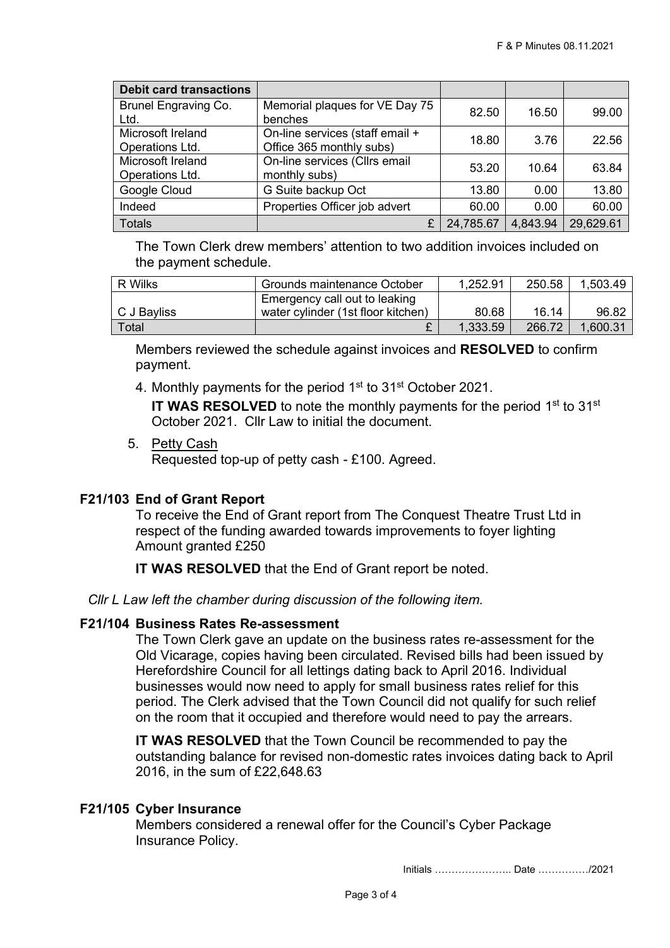| <b>Debit card transactions</b>       |                                                             |           |          |           |
|--------------------------------------|-------------------------------------------------------------|-----------|----------|-----------|
| Brunel Engraving Co.<br>Ltd.         | Memorial plaques for VE Day 75<br>benches                   | 82.50     | 16.50    | 99.00     |
| Microsoft Ireland<br>Operations Ltd. | On-line services (staff email +<br>Office 365 monthly subs) | 18.80     | 3.76     | 22.56     |
| Microsoft Ireland<br>Operations Ltd. | On-line services (Cllrs email<br>monthly subs)              | 53.20     | 10.64    | 63.84     |
| Google Cloud                         | G Suite backup Oct                                          | 13.80     | 0.00     | 13.80     |
| Indeed                               | Properties Officer job advert                               | 60.00     | 0.00     | 60.00     |
| <b>Totals</b>                        |                                                             | 24,785.67 | 4,843.94 | 29,629.61 |

The Town Clerk drew members' attention to two addition invoices included on the payment schedule.

| R Wilks     | Grounds maintenance October        | 1.252.91 | 250.58 | 1,503.49 |
|-------------|------------------------------------|----------|--------|----------|
|             | Emergency call out to leaking      |          |        |          |
| C J Bayliss | water cylinder (1st floor kitchen) | 80.68    | 16.14  | 96.82    |
| Total       |                                    | 1.333.59 | 266.72 | 1,600.31 |

Members reviewed the schedule against invoices and **RESOLVED** to confirm payment.

4. Monthly payments for the period 1<sup>st</sup> to 31<sup>st</sup> October 2021.

IT WAS RESOLVED to note the monthly payments for the period 1<sup>st</sup> to 31<sup>st</sup> October 2021. Cllr Law to initial the document.

5. Petty Cash

Requested top-up of petty cash - £100. Agreed.

## **F21/103 End of Grant Report**

To receive the End of Grant report from The Conquest Theatre Trust Ltd in respect of the funding awarded towards improvements to foyer lighting Amount granted £250

**IT WAS RESOLVED** that the End of Grant report be noted.

*Cllr L Law left the chamber during discussion of the following item.*

## **F21/104 Business Rates Re-assessment**

The Town Clerk gave an update on the business rates re-assessment for the Old Vicarage, copies having been circulated. Revised bills had been issued by Herefordshire Council for all lettings dating back to April 2016. Individual businesses would now need to apply for small business rates relief for this period. The Clerk advised that the Town Council did not qualify for such relief on the room that it occupied and therefore would need to pay the arrears.

**IT WAS RESOLVED** that the Town Council be recommended to pay the outstanding balance for revised non-domestic rates invoices dating back to April 2016, in the sum of £22,648.63

## **F21/105 Cyber Insurance**

Members considered a renewal offer for the Council's Cyber Package Insurance Policy.

Initials ………………….. Date ……………/2021